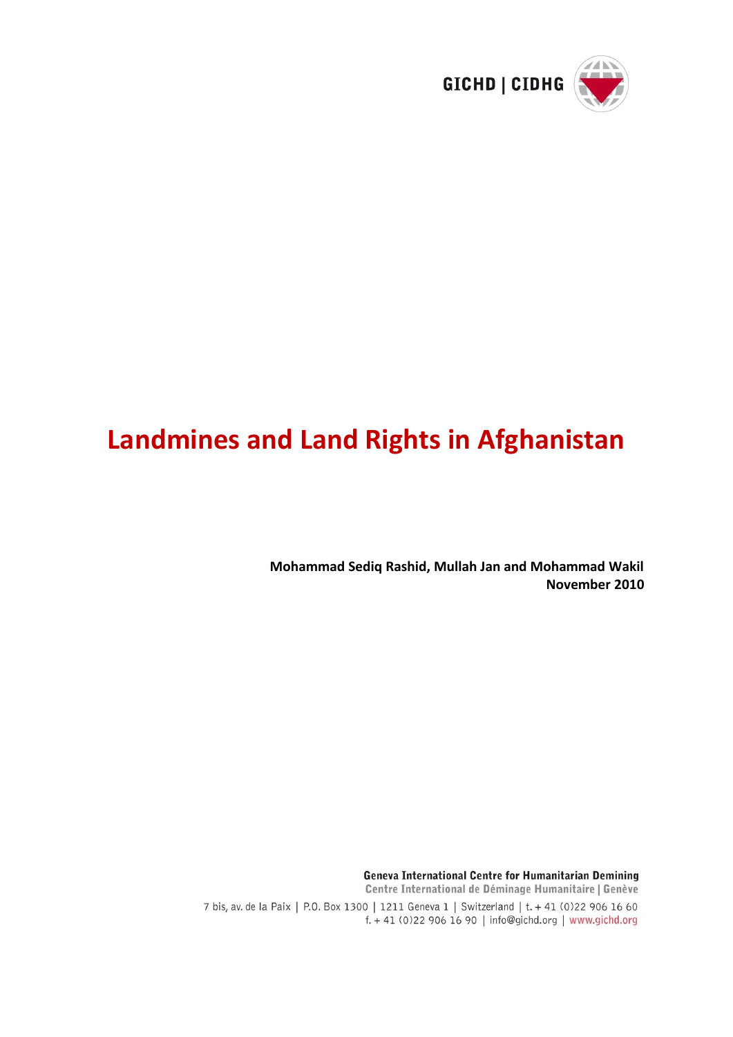

# **Landmines and Land Rights in Afghanistan**

**Mohammad Sediq Rashid, Mullah Jan and Mohammad Wakil November 2010**

Geneva International Centre for Humanitarian Demining Centre International de Déminage Humanitaire | Genève 7 bis, av. de la Paix | P.O. Box 1300 | 1211 Geneva 1 | Switzerland | t. + 41 (0)22 906 16 60 f. + 41 (0)22 906 16 90 | info@gichd.org | www.gichd.org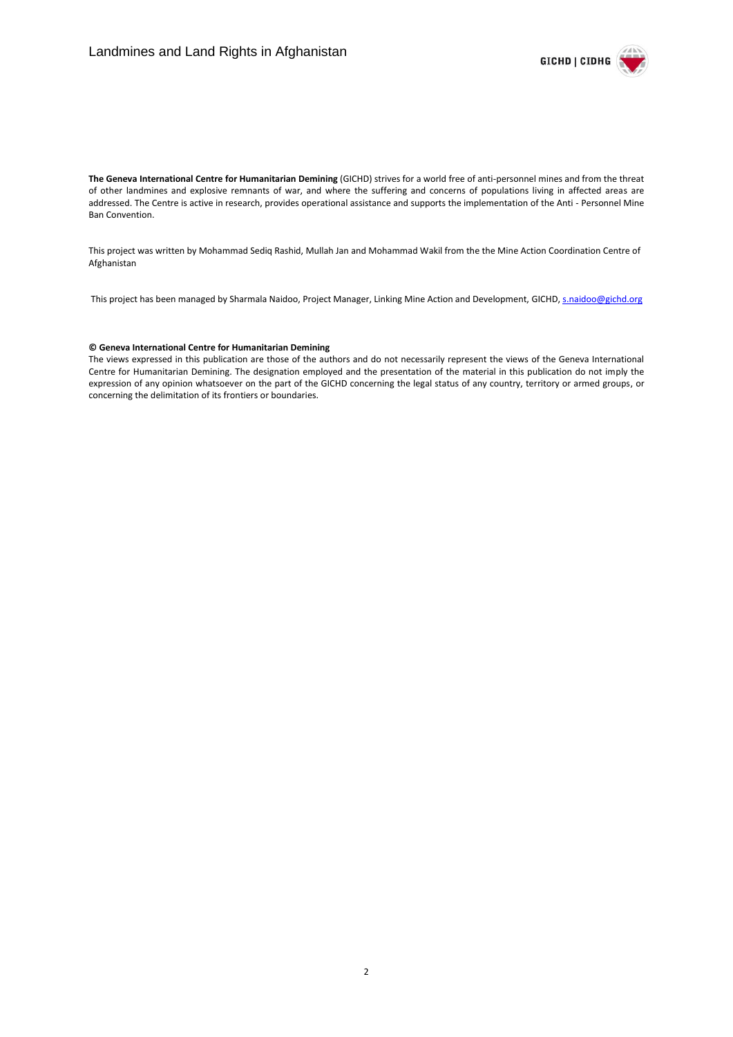

**The Geneva International Centre for Humanitarian Demining** (GICHD) strives for a world free of anti-personnel mines and from the threat of other landmines and explosive remnants of war, and where the suffering and concerns of populations living in affected areas are addressed. The Centre is active in research, provides operational assistance and supports the implementation of the Anti - Personnel Mine Ban Convention.

This project was written by Mohammad Sediq Rashid, Mullah Jan and Mohammad Wakil from the the Mine Action Coordination Centre of Afghanistan

This project has been managed by Sharmala Naidoo, Project Manager, Linking Mine Action and Development, GICHD[, s.naidoo@gichd.org](mailto:s.naidoo@gichd.org)

#### **© Geneva International Centre for Humanitarian Demining**

The views expressed in this publication are those of the authors and do not necessarily represent the views of the Geneva International Centre for Humanitarian Demining. The designation employed and the presentation of the material in this publication do not imply the expression of any opinion whatsoever on the part of the GICHD concerning the legal status of any country, territory or armed groups, or concerning the delimitation of its frontiers or boundaries.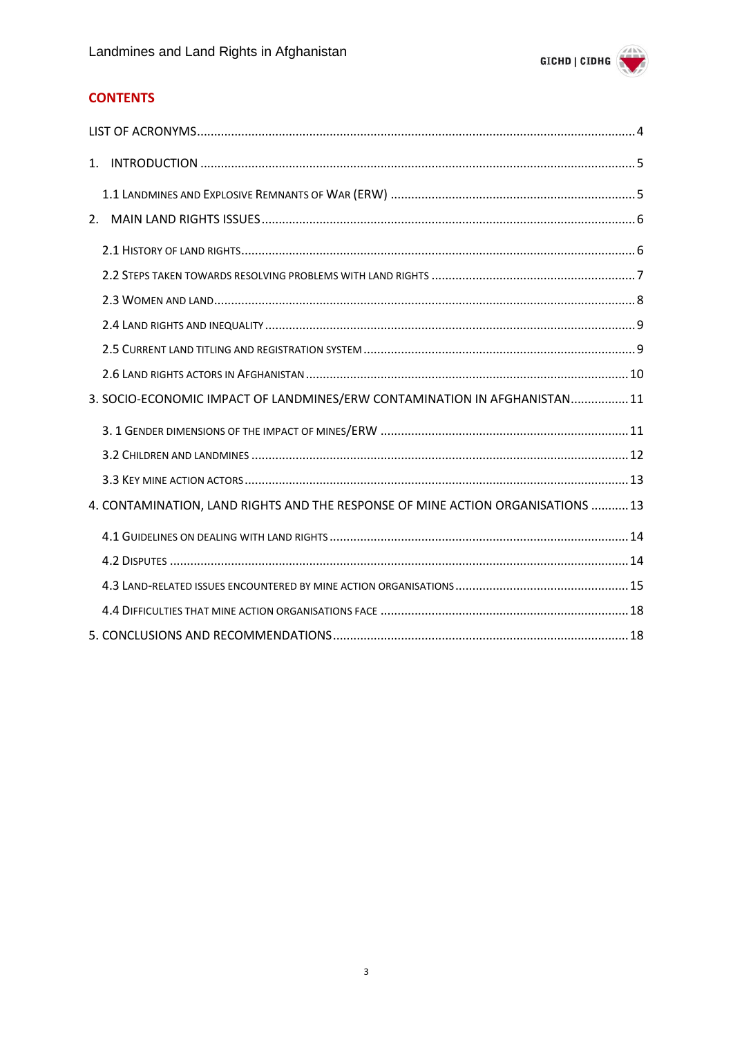

## **CONTENTS**

| 3. SOCIO-ECONOMIC IMPACT OF LANDMINES/ERW CONTAMINATION IN AFGHANISTAN 11       |
|---------------------------------------------------------------------------------|
|                                                                                 |
|                                                                                 |
|                                                                                 |
| 4. CONTAMINATION, LAND RIGHTS AND THE RESPONSE OF MINE ACTION ORGANISATIONS  13 |
|                                                                                 |
|                                                                                 |
|                                                                                 |
|                                                                                 |
|                                                                                 |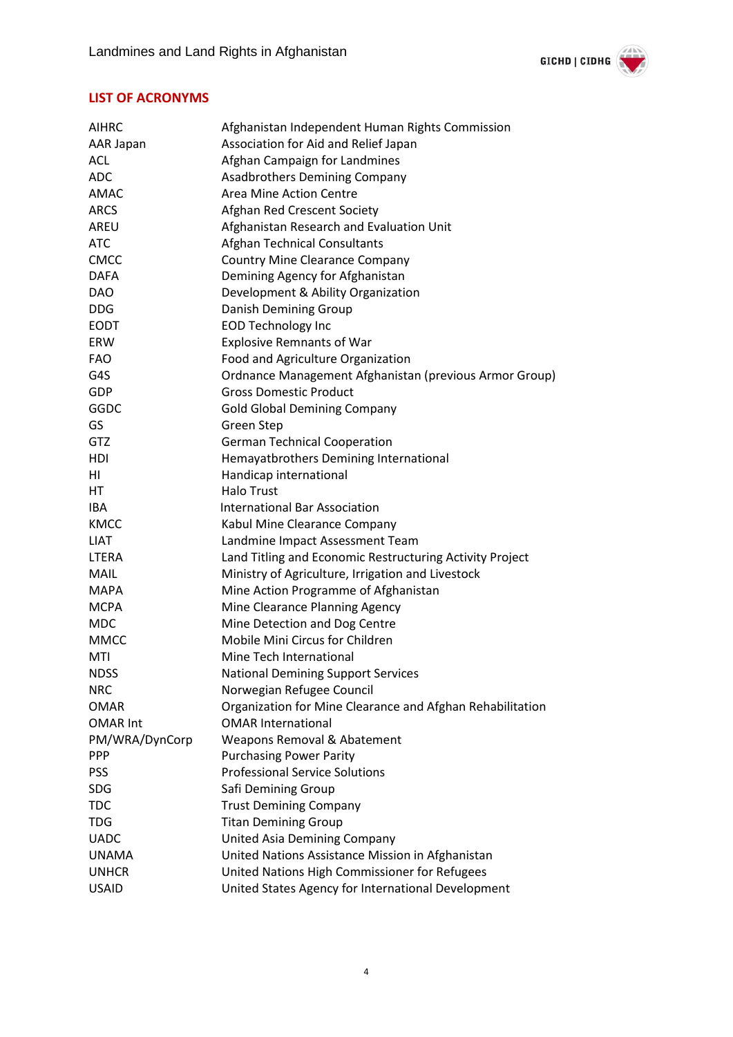

## <span id="page-3-0"></span>**LIST OF ACRONYMS**

| <b>AIHRC</b>    | Afghanistan Independent Human Rights Commission           |
|-----------------|-----------------------------------------------------------|
| AAR Japan       | Association for Aid and Relief Japan                      |
| ACL             | Afghan Campaign for Landmines                             |
| <b>ADC</b>      | Asadbrothers Demining Company                             |
| <b>AMAC</b>     | Area Mine Action Centre                                   |
| <b>ARCS</b>     | Afghan Red Crescent Society                               |
| AREU            | Afghanistan Research and Evaluation Unit                  |
| <b>ATC</b>      | Afghan Technical Consultants                              |
| <b>CMCC</b>     | <b>Country Mine Clearance Company</b>                     |
| <b>DAFA</b>     | Demining Agency for Afghanistan                           |
| <b>DAO</b>      | Development & Ability Organization                        |
| <b>DDG</b>      | Danish Demining Group                                     |
| <b>EODT</b>     | <b>EOD Technology Inc</b>                                 |
| <b>ERW</b>      | <b>Explosive Remnants of War</b>                          |
| <b>FAO</b>      | Food and Agriculture Organization                         |
| G4S             | Ordnance Management Afghanistan (previous Armor Group)    |
| GDP             | <b>Gross Domestic Product</b>                             |
| GGDC            | <b>Gold Global Demining Company</b>                       |
| GS              | <b>Green Step</b>                                         |
| <b>GTZ</b>      | <b>German Technical Cooperation</b>                       |
| HDI             | Hemayatbrothers Demining International                    |
| ΗI              | Handicap international                                    |
| HT              | <b>Halo Trust</b>                                         |
| IBA             | <b>International Bar Association</b>                      |
| <b>KMCC</b>     | Kabul Mine Clearance Company                              |
| <b>LIAT</b>     | Landmine Impact Assessment Team                           |
| <b>LTERA</b>    | Land Titling and Economic Restructuring Activity Project  |
| <b>MAIL</b>     | Ministry of Agriculture, Irrigation and Livestock         |
| <b>MAPA</b>     | Mine Action Programme of Afghanistan                      |
| <b>MCPA</b>     | Mine Clearance Planning Agency                            |
| <b>MDC</b>      | Mine Detection and Dog Centre                             |
| <b>MMCC</b>     | Mobile Mini Circus for Children                           |
| MTI             | Mine Tech International                                   |
| <b>NDSS</b>     | <b>National Demining Support Services</b>                 |
| <b>NRC</b>      | Norwegian Refugee Council                                 |
| <b>OMAR</b>     | Organization for Mine Clearance and Afghan Rehabilitation |
| <b>OMAR Int</b> | <b>OMAR International</b>                                 |
| PM/WRA/DynCorp  | Weapons Removal & Abatement                               |
| <b>PPP</b>      | <b>Purchasing Power Parity</b>                            |
| <b>PSS</b>      | <b>Professional Service Solutions</b>                     |
| <b>SDG</b>      | Safi Demining Group                                       |
| <b>TDC</b>      | <b>Trust Demining Company</b>                             |
| <b>TDG</b>      | <b>Titan Demining Group</b>                               |
| <b>UADC</b>     | United Asia Demining Company                              |
| <b>UNAMA</b>    | United Nations Assistance Mission in Afghanistan          |
| <b>UNHCR</b>    | United Nations High Commissioner for Refugees             |
| <b>USAID</b>    | United States Agency for International Development        |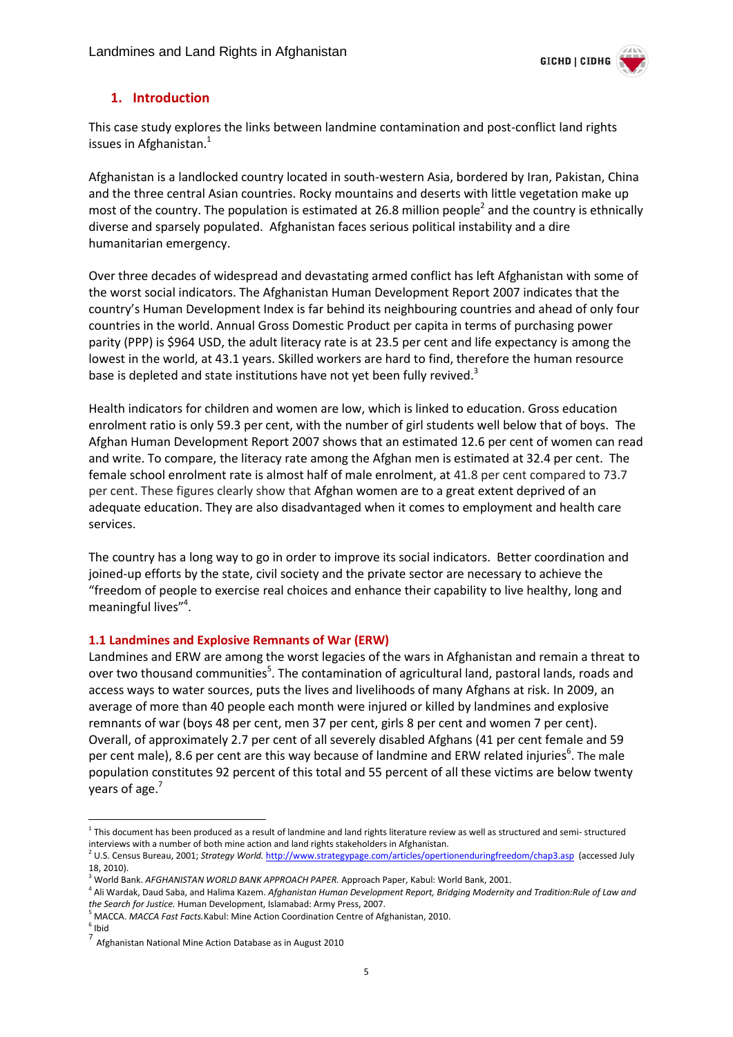

### <span id="page-4-0"></span>**1. Introduction**

This case study explores the links between landmine contamination and post-conflict land rights issues in Afghanistan. $<sup>1</sup>$ </sup>

Afghanistan is a landlocked country located in south-western Asia, bordered by Iran, Pakistan, China and the three central Asian countries. Rocky mountains and deserts with little vegetation make up most of the country. The population is estimated at 26.8 million people<sup>2</sup> and the country is ethnically diverse and sparsely populated. Afghanistan faces serious political instability and a dire humanitarian emergency.

Over three decades of widespread and devastating armed conflict has left Afghanistan with some of the worst social indicators. The Afghanistan Human Development Report 2007 indicates that the country's Human Development Index is far behind its neighbouring countries and ahead of only four countries in the world. Annual Gross Domestic Product per capita in terms of purchasing power parity (PPP) is \$964 USD, the adult literacy rate is at 23.5 per cent and life expectancy is among the lowest in the world, at 43.1 years. Skilled workers are hard to find, therefore the human resource base is depleted and state institutions have not yet been fully revived.<sup>3</sup>

Health indicators for children and women are low, which is linked to education. Gross education enrolment ratio is only 59.3 per cent, with the number of girl students well below that of boys. The Afghan Human Development Report 2007 shows that an estimated 12.6 per cent of women can read and write. To compare, the literacy rate among the Afghan men is estimated at 32.4 per cent. The female school enrolment rate is almost half of male enrolment, at 41.8 per cent compared to 73.7 per cent. These figures clearly show that Afghan women are to a great extent deprived of an adequate education. They are also disadvantaged when it comes to employment and health care services.

The country has a long way to go in order to improve its social indicators. Better coordination and joined-up efforts by the state, civil society and the private sector are necessary to achieve the "freedom of people to exercise real choices and enhance their capability to live healthy, long and meaningful lives"<sup>4</sup>.

#### <span id="page-4-1"></span>**1.1 Landmines and Explosive Remnants of War (ERW)**

Landmines and ERW are among the worst legacies of the wars in Afghanistan and remain a threat to over two thousand communities<sup>5</sup>. The contamination of agricultural land, pastoral lands, roads and access ways to water sources, puts the lives and livelihoods of many Afghans at risk. In 2009, an average of more than 40 people each month were injured or killed by landmines and explosive remnants of war (boys 48 per cent, men 37 per cent, girls 8 per cent and women 7 per cent). Overall, of approximately 2.7 per cent of all severely disabled Afghans (41 per cent female and 59 per cent male), 8.6 per cent are this way because of landmine and ERW related injuries<sup>6</sup>. The male population constitutes 92 percent of this total and 55 percent of all these victims are below twenty years of age.<sup>7</sup>

 $\overline{a}$  $1$  This document has been produced as a result of landmine and land rights literature review as well as structured and semi- structured interviews with a number of both mine action and land rights stakeholders in Afghanistan.

<sup>2</sup> U.S. Census Bureau, 2001; *Strategy World.* <http://www.strategypage.com/articles/opertionenduringfreedom/chap3.asp>(accessed July 18, 2010).

<sup>3</sup> World Bank. *AFGHANISTAN WORLD BANK APPROACH PAPER.* Approach Paper, Kabul: World Bank, 2001.

<sup>4</sup> Ali Wardak, Daud Saba, and Halima Kazem. *Afghanistan Human Development Report, Bridging Modernity and Tradition:Rule of Law and the Search for Justice.* Human Development, Islamabad: Army Press, 2007.

<sup>5</sup> MACCA. *MACCA Fast Facts.*Kabul: Mine Action Coordination Centre of Afghanistan, 2010.

<sup>6</sup> Ibid

<sup>7</sup> Afghanistan National Mine Action Database as in August 2010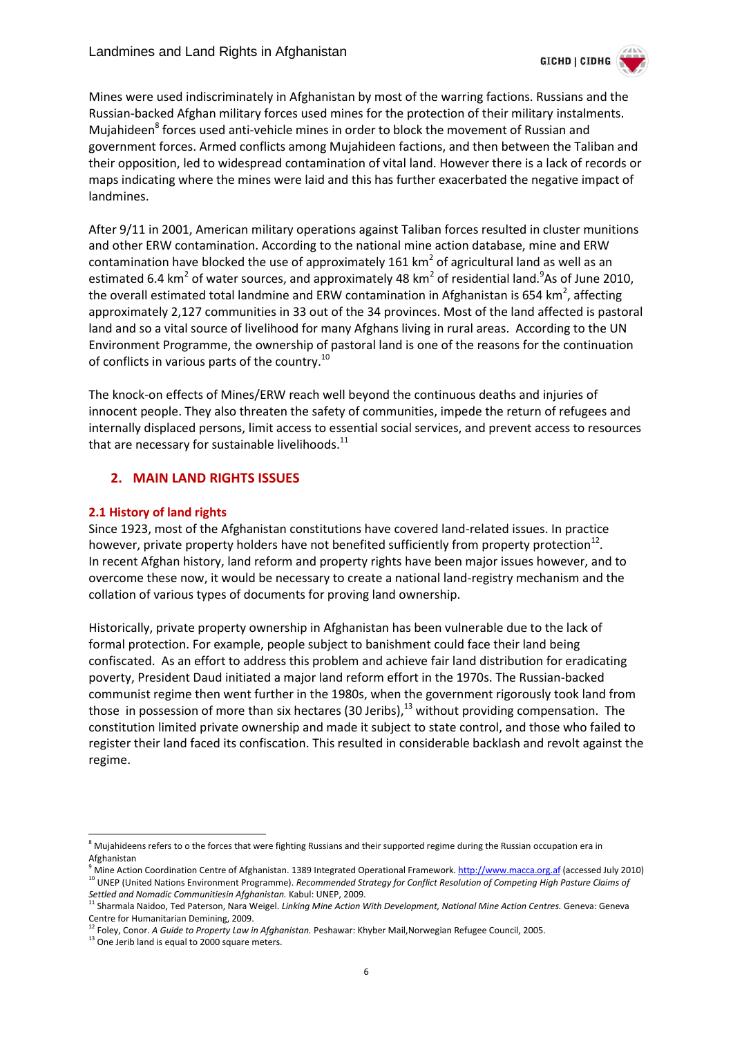

Mines were used indiscriminately in Afghanistan by most of the warring factions. Russians and the Russian-backed Afghan military forces used mines for the protection of their military instalments. Mujahideen<sup>8</sup> forces used anti-vehicle mines in order to block the movement of Russian and government forces. Armed conflicts among Mujahideen factions, and then between the Taliban and their opposition, led to widespread contamination of vital land. However there is a lack of records or maps indicating where the mines were laid and this has further exacerbated the negative impact of landmines.

After 9/11 in 2001, American military operations against Taliban forces resulted in cluster munitions and other ERW contamination. According to the national mine action database, mine and ERW contamination have blocked the use of approximately 161 km<sup>2</sup> of agricultural land as well as an estimated 6.4 km<sup>2</sup> of water sources, and approximately 48 km<sup>2</sup> of residential land.<sup>9</sup>As of June 2010, the overall estimated total landmine and ERW contamination in Afghanistan is 654 km<sup>2</sup>, affecting approximately 2,127 communities in 33 out of the 34 provinces. Most of the land affected is pastoral land and so a vital source of livelihood for many Afghans living in rural areas. According to the UN Environment Programme, the ownership of pastoral land is one of the reasons for the continuation of conflicts in various parts of the country.<sup>10</sup>

The knock-on effects of Mines/ERW reach well beyond the continuous deaths and injuries of innocent people. They also threaten the safety of communities, impede the return of refugees and internally displaced persons, limit access to essential social services, and prevent access to resources that are necessary for sustainable livelihoods. $^{11}$ 

#### <span id="page-5-0"></span>**2. MAIN LAND RIGHTS ISSUES**

#### <span id="page-5-1"></span>**2.1 History of land rights**

Since 1923, most of the Afghanistan constitutions have covered land-related issues. In practice however, private property holders have not benefited sufficiently from property protection $^{12}$ . In recent Afghan history, land reform and property rights have been major issues however, and to overcome these now, it would be necessary to create a national land-registry mechanism and the collation of various types of documents for proving land ownership.

Historically, private property ownership in Afghanistan has been vulnerable due to the lack of formal protection. For example, people subject to banishment could face their land being confiscated. As an effort to address this problem and achieve fair land distribution for eradicating poverty, President Daud initiated a major land reform effort in the 1970s. The Russian-backed communist regime then went further in the 1980s, when the government rigorously took land from those in possession of more than six hectares (30 Jeribs), $13$  without providing compensation. The constitution limited private ownership and made it subject to state control, and those who failed to register their land faced its confiscation. This resulted in considerable backlash and revolt against the regime.

<sup>-</sup><sup>8</sup> Mujahideens refers to o the forces that were fighting Russians and their supported regime during the Russian occupation era in Afghanistan

<sup>9</sup> Mine Action Coordination Centre of Afghanistan. 1389 Integrated Operational Framework[. http://www.macca.org.af](http://www.macca.org.af/) (accessed July 2010) <sup>10</sup> UNEP (United Nations Environment Programme). Recommended Strategy for Conflict Resolution of Competing High Pasture Claims of *Settled and Nomadic Communitiesin Afghanistan.* Kabul: UNEP, 2009.

<sup>11</sup> Sharmala Naidoo, Ted Paterson, Nara Weigel. *Linking Mine Action With Development, National Mine Action Centres.* Geneva: Geneva Centre for Humanitarian Demining, 2009.

<sup>12</sup> Foley, Conor. *A Guide to Property Law in Afghanistan.* Peshawar: Khyber Mail,Norwegian Refugee Council, 2005.

<sup>&</sup>lt;sup>13</sup> One Jerib land is equal to 2000 square meters.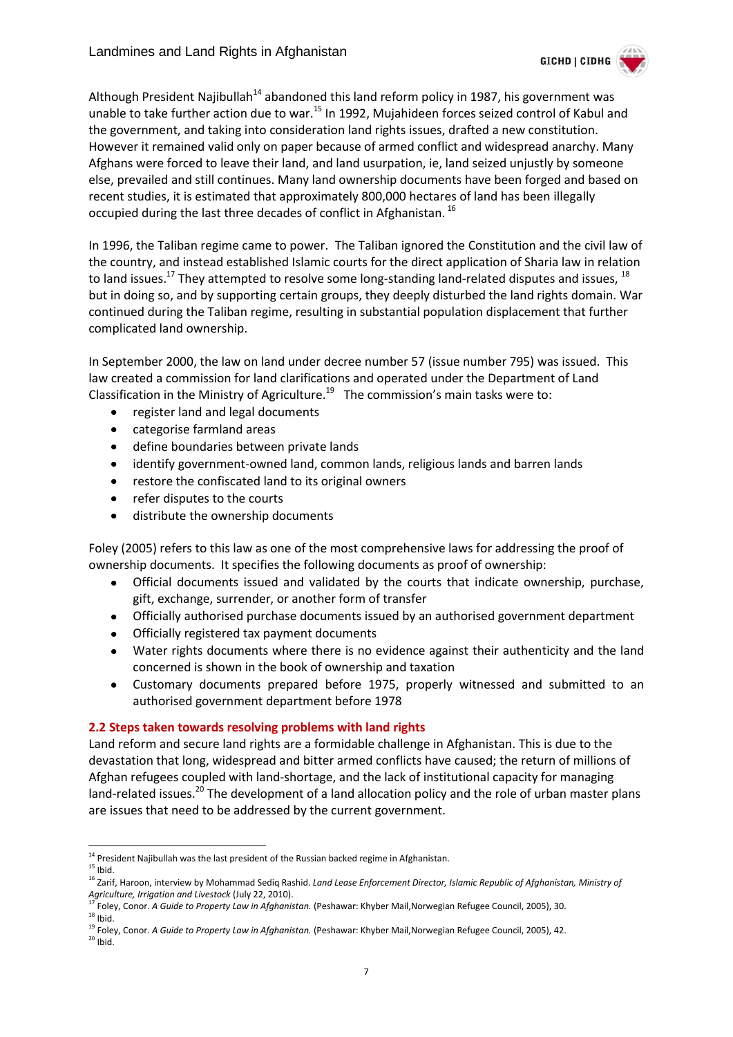

Although President Najibullah<sup>14</sup> abandoned this land reform policy in 1987, his government was unable to take further action due to war.<sup>15</sup> In 1992, Mujahideen forces seized control of Kabul and the government, and taking into consideration land rights issues, drafted a new constitution. However it remained valid only on paper because of armed conflict and widespread anarchy. Many Afghans were forced to leave their land, and land usurpation, ie, land seized unjustly by someone else, prevailed and still continues. Many land ownership documents have been forged and based on recent studies, it is estimated that approximately 800,000 hectares of land has been illegally occupied during the last three decades of conflict in Afghanistan.<sup>16</sup>

In 1996, the Taliban regime came to power. The Taliban ignored the Constitution and the civil law of the country, and instead established Islamic courts for the direct application of Sharia law in relation to land issues.<sup>17</sup> They attempted to resolve some long-standing land-related disputes and issues, <sup>18</sup> but in doing so, and by supporting certain groups, they deeply disturbed the land rights domain. War continued during the Taliban regime, resulting in substantial population displacement that further complicated land ownership.

In September 2000, the law on land under decree number 57 (issue number 795) was issued. This law created a commission for land clarifications and operated under the Department of Land Classification in the Ministry of Agriculture.<sup>19</sup> The commission's main tasks were to:

- $\bullet$ register land and legal documents
- $\bullet$ categorise farmland areas
- define boundaries between private lands  $\bullet$
- identify government-owned land, common lands, religious lands and barren lands  $\bullet$
- $\bullet$ restore the confiscated land to its original owners
- refer disputes to the courts  $\bullet$
- distribute the ownership documents  $\bullet$

Foley (2005) refers to this law as one of the most comprehensive laws for addressing the proof of ownership documents. It specifies the following documents as proof of ownership:

- Official documents issued and validated by the courts that indicate ownership, purchase,  $\bullet$ gift, exchange, surrender, or another form of transfer
- Officially authorised purchase documents issued by an authorised government department
- Officially registered tax payment documents  $\bullet$
- Water rights documents where there is no evidence against their authenticity and the land concerned is shown in the book of ownership and taxation
- Customary documents prepared before 1975, properly witnessed and submitted to an  $\bullet$ authorised government department before 1978

#### <span id="page-6-0"></span>**2.2 Steps taken towards resolving problems with land rights**

Land reform and secure land rights are a formidable challenge in Afghanistan. This is due to the devastation that long, widespread and bitter armed conflicts have caused; the return of millions of Afghan refugees coupled with land-shortage, and the lack of institutional capacity for managing land-related issues.<sup>20</sup> The development of a land allocation policy and the role of urban master plans are issues that need to be addressed by the current government.

<sup>-</sup><sup>14</sup> President Najibullah was the last president of the Russian backed regime in Afghanistan.

 $15$  Ibid.

<sup>16</sup> Zarif, Haroon, interview by Mohammad Sediq Rashid. *Land Lease Enforcement Director, Islamic Republic of Afghanistan, Ministry of Agriculture, Irrigation and Livestock* (July 22, 2010).

<sup>17</sup> Foley, Conor. *A Guide to Property Law in Afghanistan.* (Peshawar: Khyber Mail,Norwegian Refugee Council, 2005), 30.  $18$  Ibid.

<sup>19</sup> Foley, Conor. *A Guide to Property Law in Afghanistan.* (Peshawar: Khyber Mail,Norwegian Refugee Council, 2005), 42.

 $20$  Ibid.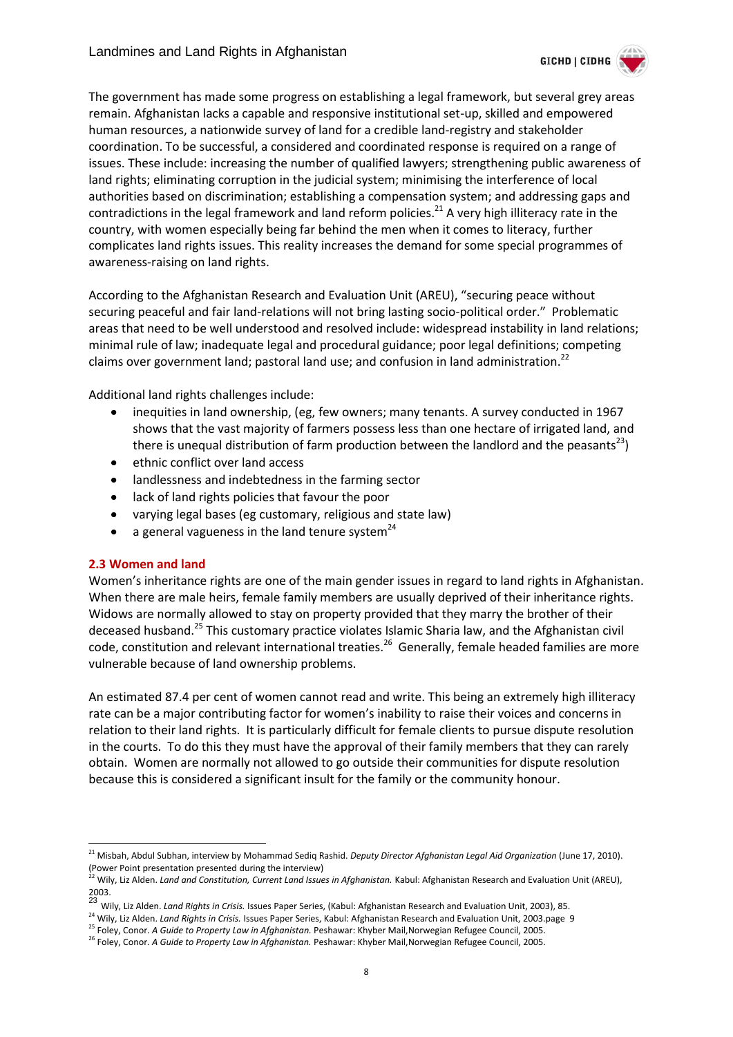

The government has made some progress on establishing a legal framework, but several grey areas remain. Afghanistan lacks a capable and responsive institutional set-up, skilled and empowered human resources, a nationwide survey of land for a credible land-registry and stakeholder coordination. To be successful, a considered and coordinated response is required on a range of issues. These include: increasing the number of qualified lawyers; strengthening public awareness of land rights; eliminating corruption in the judicial system; minimising the interference of local authorities based on discrimination; establishing a compensation system; and addressing gaps and contradictions in the legal framework and land reform policies.<sup>21</sup> A very high illiteracy rate in the country, with women especially being far behind the men when it comes to literacy, further complicates land rights issues. This reality increases the demand for some special programmes of awareness-raising on land rights.

According to the Afghanistan Research and Evaluation Unit (AREU), "securing peace without securing peaceful and fair land-relations will not bring lasting socio-political order." Problematic areas that need to be well understood and resolved include: widespread instability in land relations; minimal rule of law; inadequate legal and procedural guidance; poor legal definitions; competing claims over government land; pastoral land use; and confusion in land administration.<sup>22</sup>

Additional land rights challenges include:

- inequities in land ownership, (eg, few owners; many tenants. A survey conducted in 1967 shows that the vast majority of farmers possess less than one hectare of irrigated land, and there is unequal distribution of farm production between the landlord and the peasants<sup>23</sup>)
- $\bullet$ ethnic conflict over land access
- landlessness and indebtedness in the farming sector  $\bullet$
- lack of land rights policies that favour the poor  $\bullet$
- varying legal bases (eg customary, religious and state law)  $\bullet$
- a general vagueness in the land tenure system<sup>24</sup>  $\bullet$

#### <span id="page-7-0"></span>**2.3 Women and land**

-

Women's inheritance rights are one of the main gender issues in regard to land rights in Afghanistan. When there are male heirs, female family members are usually deprived of their inheritance rights. Widows are normally allowed to stay on property provided that they marry the brother of their deceased husband.<sup>25</sup> This customary practice violates Islamic Sharia law, and the Afghanistan civil code, constitution and relevant international treaties.<sup>26</sup> Generally, female headed families are more vulnerable because of land ownership problems.

An estimated 87.4 per cent of women cannot read and write. This being an extremely high illiteracy rate can be a major contributing factor for women's inability to raise their voices and concerns in relation to their land rights. It is particularly difficult for female clients to pursue dispute resolution in the courts. To do this they must have the approval of their family members that they can rarely obtain. Women are normally not allowed to go outside their communities for dispute resolution because this is considered a significant insult for the family or the community honour.

<sup>21</sup> Misbah, Abdul Subhan, interview by Mohammad Sediq Rashid. *Deputy Director Afghanistan Legal Aid Organization* (June 17, 2010). (Power Point presentation presented during the interview)

<sup>&</sup>lt;sup>2</sup> Wily, Liz Alden. *Land and Constitution, Current Land Issues in Afghanistan. Kabul: Afghanistan Research and Evaluation Unit (AREU),* 

<sup>2003.</sup> <sup>23</sup> Wily, Liz Alden. *Land Rights in Crisis.* Issues Paper Series, (Kabul: Afghanistan Research and Evaluation Unit, 2003), 85.

<sup>&</sup>lt;sup>24</sup> Wily, Liz Alden. *Land Rights in Crisis.* Issues Paper Series, Kabul: Afghanistan Research and Evaluation Unit, 2003.page 9

<sup>25</sup> Foley, Conor. *A Guide to Property Law in Afghanistan.* Peshawar: Khyber Mail,Norwegian Refugee Council, 2005.

<sup>&</sup>lt;sup>26</sup> Foley, Conor. A Guide to Property Law in Afghanistan. Peshawar: Khyber Mail, Norwegian Refugee Council, 2005.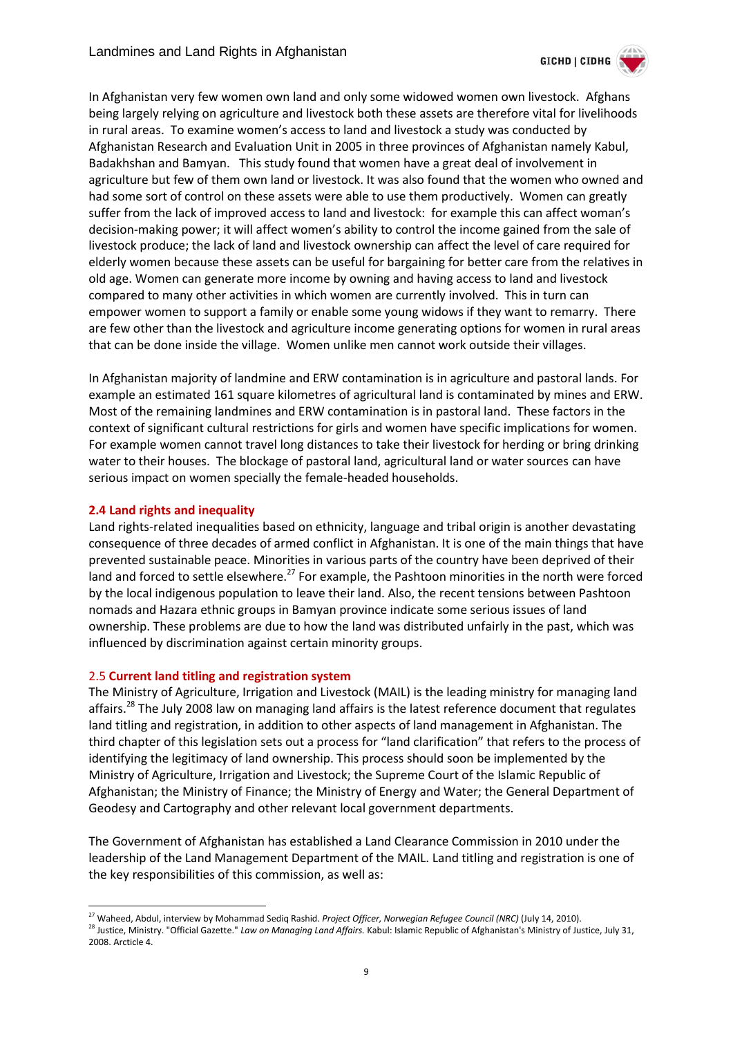

In Afghanistan very few women own land and only some widowed women own livestock. Afghans being largely relying on agriculture and livestock both these assets are therefore vital for livelihoods in rural areas. To examine women's access to land and livestock a study was conducted by Afghanistan Research and Evaluation Unit in 2005 in three provinces of Afghanistan namely Kabul, Badakhshan and Bamyan. This study found that women have a great deal of involvement in agriculture but few of them own land or livestock. It was also found that the women who owned and had some sort of control on these assets were able to use them productively. Women can greatly suffer from the lack of improved access to land and livestock: for example this can affect woman's decision-making power; it will affect women's ability to control the income gained from the sale of livestock produce; the lack of land and livestock ownership can affect the level of care required for elderly women because these assets can be useful for bargaining for better care from the relatives in old age. Women can generate more income by owning and having access to land and livestock compared to many other activities in which women are currently involved. This in turn can empower women to support a family or enable some young widows if they want to remarry. There are few other than the livestock and agriculture income generating options for women in rural areas that can be done inside the village. Women unlike men cannot work outside their villages.

In Afghanistan majority of landmine and ERW contamination is in agriculture and pastoral lands. For example an estimated 161 square kilometres of agricultural land is contaminated by mines and ERW. Most of the remaining landmines and ERW contamination is in pastoral land. These factors in the context of significant cultural restrictions for girls and women have specific implications for women. For example women cannot travel long distances to take their livestock for herding or bring drinking water to their houses. The blockage of pastoral land, agricultural land or water sources can have serious impact on women specially the female-headed households.

#### <span id="page-8-0"></span>**2.4 Land rights and inequality**

-

Land rights-related inequalities based on ethnicity, language and tribal origin is another devastating consequence of three decades of armed conflict in Afghanistan. It is one of the main things that have prevented sustainable peace. Minorities in various parts of the country have been deprived of their land and forced to settle elsewhere.<sup>27</sup> For example, the Pashtoon minorities in the north were forced by the local indigenous population to leave their land. Also, the recent tensions between Pashtoon nomads and Hazara ethnic groups in Bamyan province indicate some serious issues of land ownership. These problems are due to how the land was distributed unfairly in the past, which was influenced by discrimination against certain minority groups.

#### <span id="page-8-1"></span>2.5 **Current land titling and registration system**

The Ministry of Agriculture, Irrigation and Livestock (MAIL) is the leading ministry for managing land affairs.<sup>28</sup> The July 2008 law on managing land affairs is the latest reference document that regulates land titling and registration, in addition to other aspects of land management in Afghanistan. The third chapter of this legislation sets out a process for "land clarification" that refers to the process of identifying the legitimacy of land ownership. This process should soon be implemented by the Ministry of Agriculture, Irrigation and Livestock; the Supreme Court of the Islamic Republic of Afghanistan; the Ministry of Finance; the Ministry of Energy and Water; the General Department of Geodesy and Cartography and other relevant local government departments.

The Government of Afghanistan has established a Land Clearance Commission in 2010 under the leadership of the Land Management Department of the MAIL. Land titling and registration is one of the key responsibilities of this commission, as well as:

<sup>27</sup> Waheed, Abdul, interview by Mohammad Sediq Rashid. *Project Officer, Norwegian Refugee Council (NRC)* (July 14, 2010). <sup>28</sup> Justice, Ministry. "Official Gazette." *Law on Managing Land Affairs.* Kabul: Islamic Republic of Afghanistan's Ministry of Justice, July 31, 2008. Arcticle 4.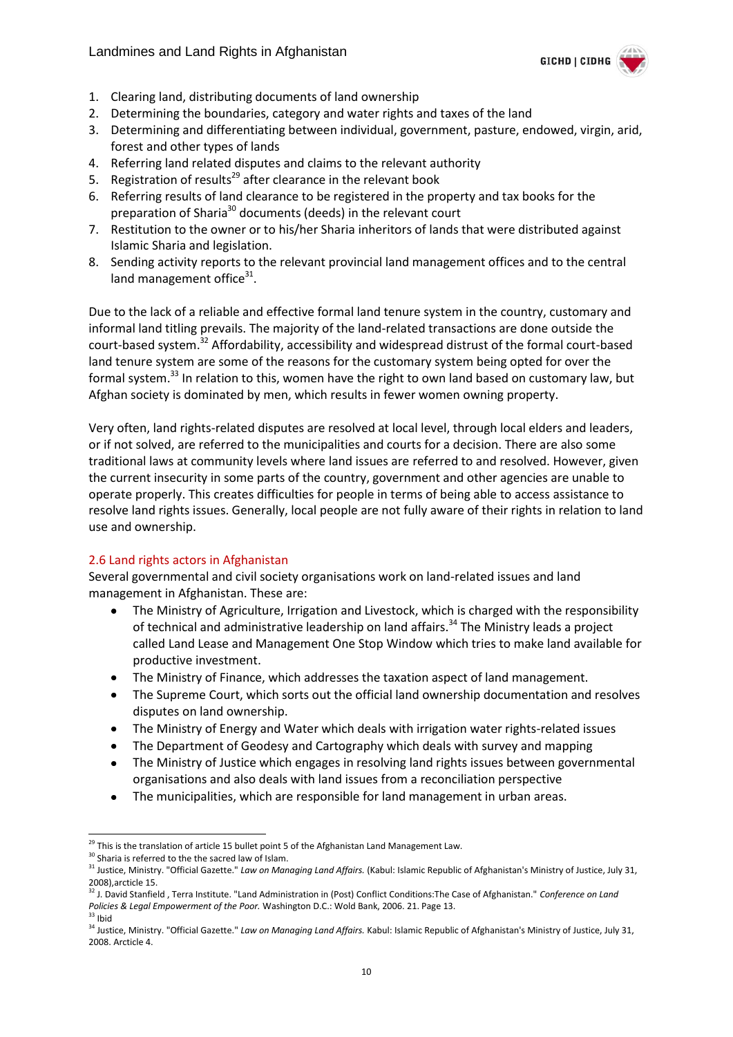

- 1. Clearing land, distributing documents of land ownership
- 2. Determining the boundaries, category and water rights and taxes of the land
- 3. Determining and differentiating between individual, government, pasture, endowed, virgin, arid, forest and other types of lands
- 4. Referring land related disputes and claims to the relevant authority
- 5. Registration of results<sup>29</sup> after clearance in the relevant book
- 6. Referring results of land clearance to be registered in the property and tax books for the preparation of Sharia<sup>30</sup> documents (deeds) in the relevant court
- 7. Restitution to the owner or to his/her Sharia inheritors of lands that were distributed against Islamic Sharia and legislation.
- 8. Sending activity reports to the relevant provincial land management offices and to the central land management office<sup>31</sup>.

Due to the lack of a reliable and effective formal land tenure system in the country, customary and informal land titling prevails. The majority of the land-related transactions are done outside the court-based system.<sup>32</sup> Affordability, accessibility and widespread distrust of the formal court-based land tenure system are some of the reasons for the customary system being opted for over the formal system.<sup>33</sup> In relation to this, women have the right to own land based on customary law, but Afghan society is dominated by men, which results in fewer women owning property.

Very often, land rights-related disputes are resolved at local level, through local elders and leaders, or if not solved, are referred to the municipalities and courts for a decision. There are also some traditional laws at community levels where land issues are referred to and resolved. However, given the current insecurity in some parts of the country, government and other agencies are unable to operate properly. This creates difficulties for people in terms of being able to access assistance to resolve land rights issues. Generally, local people are not fully aware of their rights in relation to land use and ownership.

#### <span id="page-9-0"></span>2.6 Land rights actors in Afghanistan

Several governmental and civil society organisations work on land-related issues and land management in Afghanistan. These are:

- The Ministry of Agriculture, Irrigation and Livestock, which is charged with the responsibility  $\bullet$ of technical and administrative leadership on land affairs.<sup>34</sup> The Ministry leads a project called Land Lease and Management One Stop Window which tries to make land available for productive investment.
- The Ministry of Finance, which addresses the taxation aspect of land management.
- The Supreme Court, which sorts out the official land ownership documentation and resolves disputes on land ownership.
- The Ministry of Energy and Water which deals with irrigation water rights-related issues  $\bullet$
- The Department of Geodesy and Cartography which deals with survey and mapping
- The Ministry of Justice which engages in resolving land rights issues between governmental  $\bullet$ organisations and also deals with land issues from a reconciliation perspective
- The municipalities, which are responsible for land management in urban areas.  $\bullet$

-

<sup>&</sup>lt;sup>29</sup> This is the translation of article 15 bullet point 5 of the Afghanistan Land Management Law.

<sup>&</sup>lt;sup>30</sup> Sharia is referred to the the sacred law of Islam.

<sup>31</sup> Justice, Ministry. "Official Gazette." *Law on Managing Land Affairs.* (Kabul: Islamic Republic of Afghanistan's Ministry of Justice, July 31, 2008),arcticle 15.

<sup>32</sup> J. David Stanfield , Terra Institute. "Land Administration in (Post) Conflict Conditions:The Case of Afghanistan." *Conference on Land Policies & Legal Empowerment of the Poor.* Washington D.C.: Wold Bank, 2006. 21. Page 13.

 $33$  Ibid

<sup>34</sup> Justice, Ministry. "Official Gazette." *Law on Managing Land Affairs.* Kabul: Islamic Republic of Afghanistan's Ministry of Justice, July 31, 2008. Arcticle 4.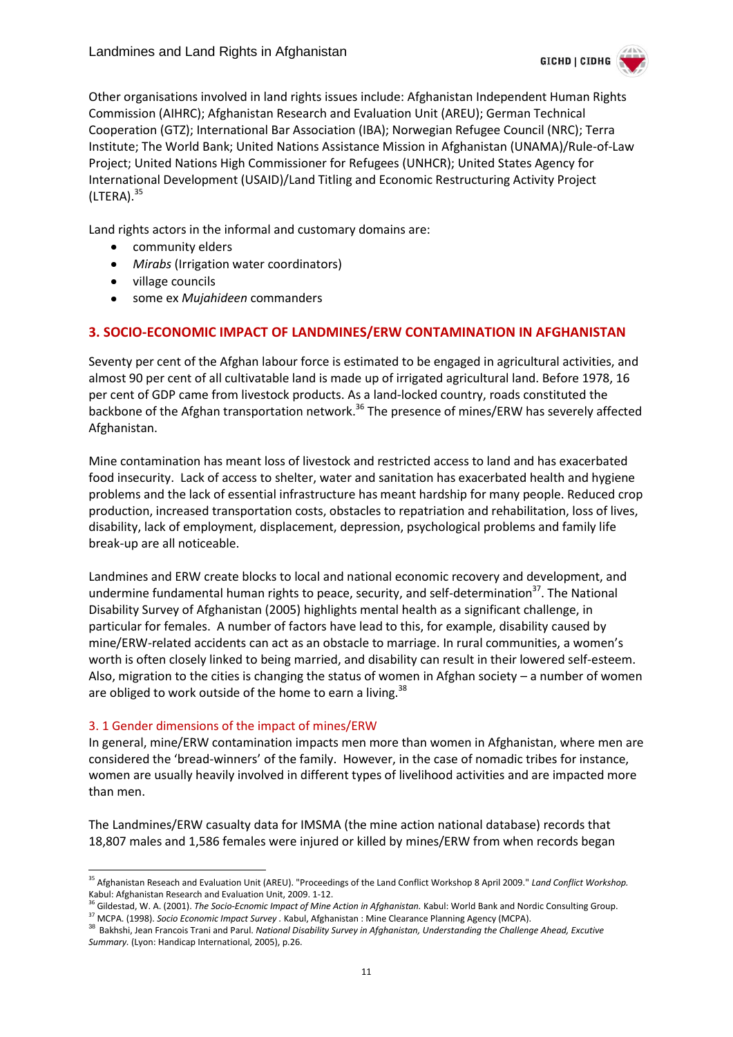

Other organisations involved in land rights issues include: Afghanistan Independent Human Rights Commission (AIHRC); Afghanistan Research and Evaluation Unit (AREU); German Technical Cooperation (GTZ); International Bar Association (IBA); Norwegian Refugee Council (NRC); Terra Institute; The World Bank; United Nations Assistance Mission in Afghanistan (UNAMA)/Rule-of-Law Project; United Nations High Commissioner for Refugees (UNHCR); United States Agency for International Development (USAID)/Land Titling and Economic Restructuring Activity Project  $(LTERA).<sup>35</sup>$ 

Land rights actors in the informal and customary domains are:

- community elders
- $\bullet$ *Mirabs* (Irrigation water coordinators)
- village councils  $\bullet$
- some ex *Mujahideen* commanders  $\bullet$

#### <span id="page-10-0"></span>**3. SOCIO-ECONOMIC IMPACT OF LANDMINES/ERW CONTAMINATION IN AFGHANISTAN**

Seventy per cent of the Afghan labour force is estimated to be engaged in agricultural activities, and almost 90 per cent of all cultivatable land is made up of irrigated agricultural land. Before 1978, 16 per cent of GDP came from livestock products. As a land-locked country, roads constituted the backbone of the Afghan transportation network.<sup>36</sup> The presence of mines/ERW has severely affected Afghanistan.

Mine contamination has meant loss of livestock and restricted access to land and has exacerbated food insecurity. Lack of access to shelter, water and sanitation has exacerbated health and hygiene problems and the lack of essential infrastructure has meant hardship for many people. Reduced crop production, increased transportation costs, obstacles to repatriation and rehabilitation, loss of lives, disability, lack of employment, displacement, depression, psychological problems and family life break-up are all noticeable.

Landmines and ERW create blocks to local and national economic recovery and development, and undermine fundamental human rights to peace, security, and self-determination<sup>37</sup>. The National Disability Survey of Afghanistan (2005) highlights mental health as a significant challenge, in particular for females. A number of factors have lead to this, for example, disability caused by mine/ERW-related accidents can act as an obstacle to marriage. In rural communities, a women's worth is often closely linked to being married, and disability can result in their lowered self-esteem. Also, migration to the cities is changing the status of women in Afghan society – a number of women are obliged to work outside of the home to earn a living.<sup>38</sup>

#### <span id="page-10-1"></span>3. 1 Gender dimensions of the impact of mines/ERW

-

In general, mine/ERW contamination impacts men more than women in Afghanistan, where men are considered the 'bread-winners' of the family. However, in the case of nomadic tribes for instance, women are usually heavily involved in different types of livelihood activities and are impacted more than men.

The Landmines/ERW casualty data for IMSMA (the mine action national database) records that 18,807 males and 1,586 females were injured or killed by mines/ERW from when records began

<sup>35</sup> Afghanistan Reseach and Evaluation Unit (AREU). "Proceedings of the Land Conflict Workshop 8 April 2009." *Land Conflict Workshop.* Kabul: Afghanistan Research and Evaluation Unit, 2009. 1-12.

<sup>&</sup>lt;sup>5</sup> Gildestad, W. A. (2001). *The Socio-Ecnomic Impact of Mine Action in Afghanistan*. Kabul: World Bank and Nordic Consulting Group. <sup>37</sup> MCPA. (1998). *Socio Economic Impact Survey .* Kabul, Afghanistan : Mine Clearance Planning Agency (MCPA).

<sup>38</sup> Bakhshi, Jean Francois Trani and Parul. *National Disability Survey in Afghanistan, Understanding the Challenge Ahead, Excutive Summary.* (Lyon: Handicap International, 2005), p.26.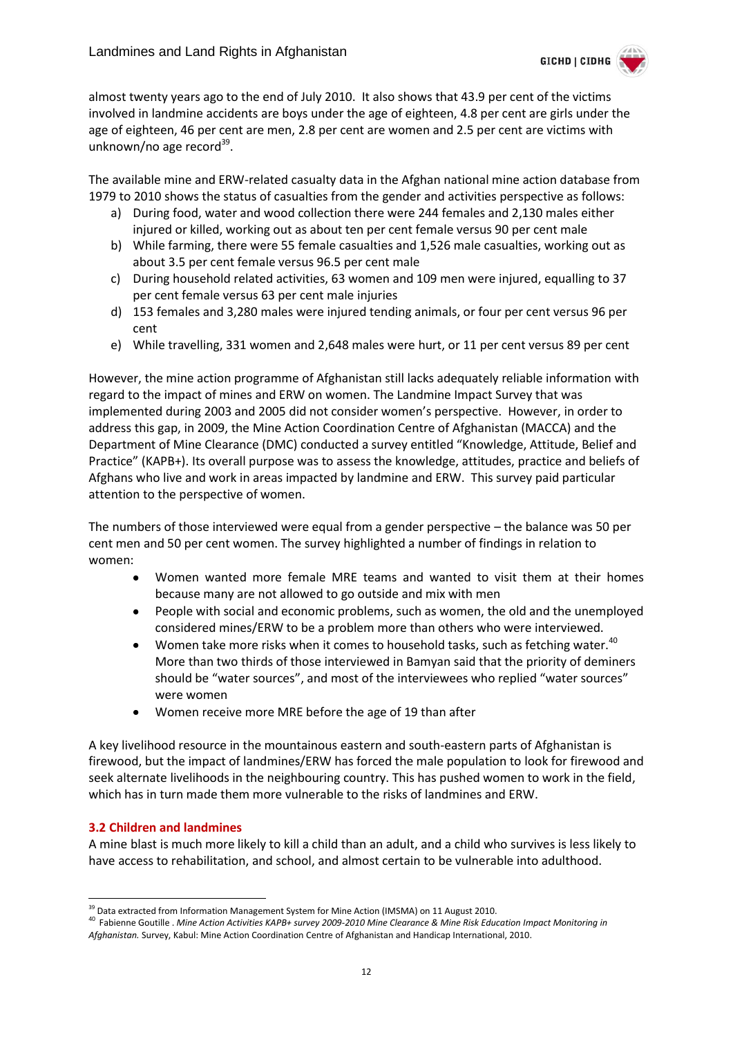

almost twenty years ago to the end of July 2010. It also shows that 43.9 per cent of the victims involved in landmine accidents are boys under the age of eighteen, 4.8 per cent are girls under the age of eighteen, 46 per cent are men, 2.8 per cent are women and 2.5 per cent are victims with unknown/no age record<sup>39</sup>.

The available mine and ERW-related casualty data in the Afghan national mine action database from 1979 to 2010 shows the status of casualties from the gender and activities perspective as follows:

- a) During food, water and wood collection there were 244 females and 2,130 males either injured or killed, working out as about ten per cent female versus 90 per cent male
- b) While farming, there were 55 female casualties and 1,526 male casualties, working out as about 3.5 per cent female versus 96.5 per cent male
- c) During household related activities, 63 women and 109 men were injured, equalling to 37 per cent female versus 63 per cent male injuries
- d) 153 females and 3,280 males were injured tending animals, or four per cent versus 96 per cent
- e) While travelling, 331 women and 2,648 males were hurt, or 11 per cent versus 89 per cent

However, the mine action programme of Afghanistan still lacks adequately reliable information with regard to the impact of mines and ERW on women. The Landmine Impact Survey that was implemented during 2003 and 2005 did not consider women's perspective. However, in order to address this gap, in 2009, the Mine Action Coordination Centre of Afghanistan (MACCA) and the Department of Mine Clearance (DMC) conducted a survey entitled "Knowledge, Attitude, Belief and Practice" (KAPB+). Its overall purpose was to assess the knowledge, attitudes, practice and beliefs of Afghans who live and work in areas impacted by landmine and ERW. This survey paid particular attention to the perspective of women.

The numbers of those interviewed were equal from a gender perspective – the balance was 50 per cent men and 50 per cent women. The survey highlighted a number of findings in relation to women:

- Women wanted more female MRE teams and wanted to visit them at their homes  $\bullet$ because many are not allowed to go outside and mix with men
- People with social and economic problems, such as women, the old and the unemployed considered mines/ERW to be a problem more than others who were interviewed.
- Women take more risks when it comes to household tasks, such as fetching water.<sup>40</sup> More than two thirds of those interviewed in Bamyan said that the priority of deminers should be "water sources", and most of the interviewees who replied "water sources" were women
- Women receive more MRE before the age of 19 than after

A key livelihood resource in the mountainous eastern and south-eastern parts of Afghanistan is firewood, but the impact of landmines/ERW has forced the male population to look for firewood and seek alternate livelihoods in the neighbouring country. This has pushed women to work in the field, which has in turn made them more vulnerable to the risks of landmines and ERW.

#### <span id="page-11-0"></span>**3.2 Children and landmines**

-

A mine blast is much more likely to kill a child than an adult, and a child who survives is less likely to have access to rehabilitation, and school, and almost certain to be vulnerable into adulthood.

<sup>&</sup>lt;sup>39</sup> Data extracted from Information Management System for Mine Action (IMSMA) on 11 August 2010.

<sup>40</sup> Fabienne Goutille . *Mine Action Activities KAPB+ survey 2009-2010 Mine Clearance & Mine Risk Education Impact Monitoring in Afghanistan.* Survey, Kabul: Mine Action Coordination Centre of Afghanistan and Handicap International, 2010.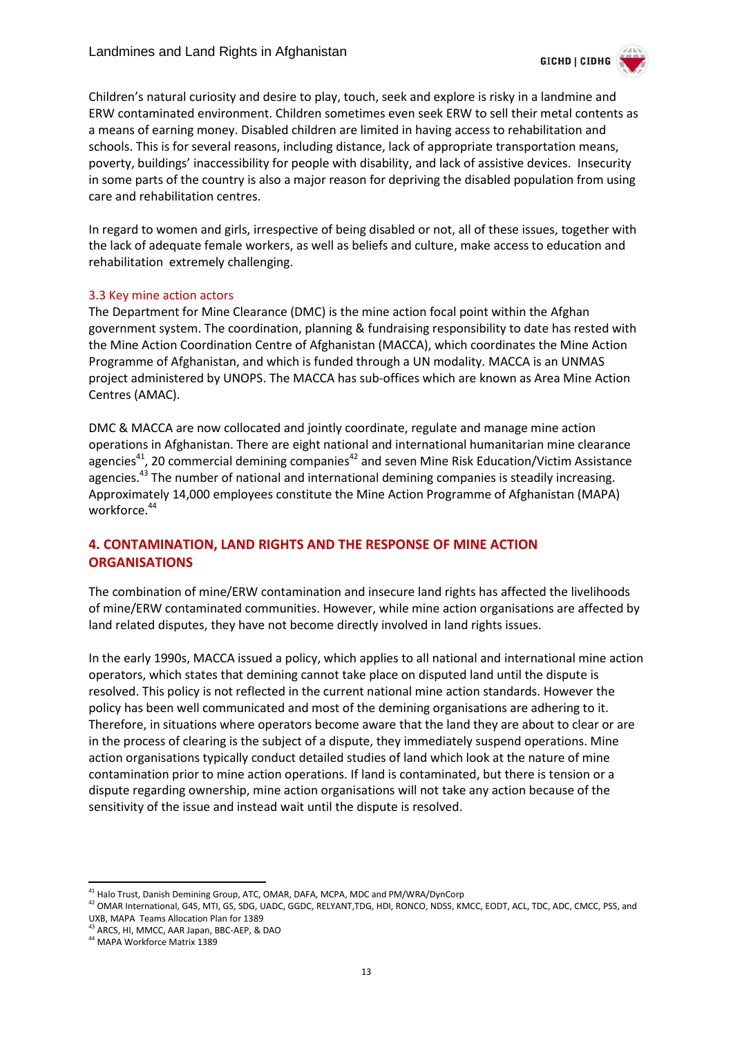

Children's natural curiosity and desire to play, touch, seek and explore is risky in a landmine and ERW contaminated environment. Children sometimes even seek ERW to sell their metal contents as a means of earning money. Disabled children are limited in having access to rehabilitation and schools. This is for several reasons, including distance, lack of appropriate transportation means, poverty, buildings' inaccessibility for people with disability, and lack of assistive devices. Insecurity in some parts of the country is also a major reason for depriving the disabled population from using care and rehabilitation centres.

In regard to women and girls, irrespective of being disabled or not, all of these issues, together with the lack of adequate female workers, as well as beliefs and culture, make access to education and rehabilitation extremely challenging.

#### <span id="page-12-0"></span>3.3 Key mine action actors

The Department for Mine Clearance (DMC) is the mine action focal point within the Afghan government system. The coordination, planning & fundraising responsibility to date has rested with the Mine Action Coordination Centre of Afghanistan (MACCA), which coordinates the Mine Action Programme of Afghanistan, and which is funded through a UN modality. MACCA is an UNMAS project administered by UNOPS. The MACCA has sub-offices which are known as Area Mine Action Centres (AMAC).

DMC & MACCA are now collocated and jointly coordinate, regulate and manage mine action operations in Afghanistan. There are eight national and international humanitarian mine clearance agencies<sup>41</sup>, 20 commercial demining companies<sup>42</sup> and seven Mine Risk Education/Victim Assistance agencies.<sup>43</sup> The number of national and international demining companies is steadily increasing. Approximately 14,000 employees constitute the Mine Action Programme of Afghanistan (MAPA) workforce.<sup>44</sup>

#### <span id="page-12-1"></span>**4. CONTAMINATION, LAND RIGHTS AND THE RESPONSE OF MINE ACTION ORGANISATIONS**

The combination of mine/ERW contamination and insecure land rights has affected the livelihoods of mine/ERW contaminated communities. However, while mine action organisations are affected by land related disputes, they have not become directly involved in land rights issues.

In the early 1990s, MACCA issued a policy, which applies to all national and international mine action operators, which states that demining cannot take place on disputed land until the dispute is resolved. This policy is not reflected in the current national mine action standards. However the policy has been well communicated and most of the demining organisations are adhering to it. Therefore, in situations where operators become aware that the land they are about to clear or are in the process of clearing is the subject of a dispute, they immediately suspend operations. Mine action organisations typically conduct detailed studies of land which look at the nature of mine contamination prior to mine action operations. If land is contaminated, but there is tension or a dispute regarding ownership, mine action organisations will not take any action because of the sensitivity of the issue and instead wait until the dispute is resolved.

<sup>-</sup><sup>41</sup> Halo Trust, Danish Demining Group, ATC, OMAR, DAFA, MCPA, MDC and PM/WRA/DynCorp

<sup>42</sup> OMAR International, G4S, MTI, GS, SDG, UADC, GGDC, RELYANT,TDG, HDI, RONCO, NDSS, KMCC, EODT, ACL, TDC, ADC, CMCC, PSS, and UXB, MAPA Teams Allocation Plan for 1389

<sup>43</sup> ARCS, HI, MMCC, AAR Japan, BBC-AEP, & DAO

<sup>44</sup> MAPA Workforce Matrix 1389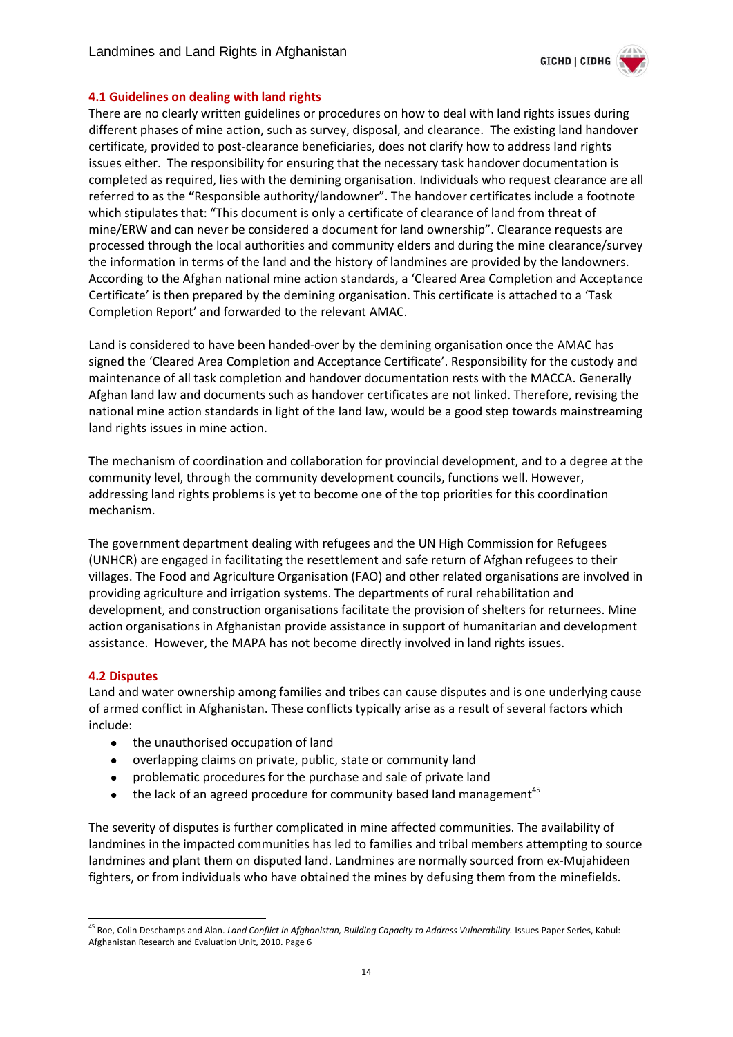

#### <span id="page-13-0"></span>**4.1 Guidelines on dealing with land rights**

There are no clearly written guidelines or procedures on how to deal with land rights issues during different phases of mine action, such as survey, disposal, and clearance. The existing land handover certificate, provided to post-clearance beneficiaries, does not clarify how to address land rights issues either. The responsibility for ensuring that the necessary task handover documentation is completed as required, lies with the demining organisation. Individuals who request clearance are all referred to as the **"**Responsible authority/landowner". The handover certificates include a footnote which stipulates that: "This document is only a certificate of clearance of land from threat of mine/ERW and can never be considered a document for land ownership". Clearance requests are processed through the local authorities and community elders and during the mine clearance/survey the information in terms of the land and the history of landmines are provided by the landowners. According to the Afghan national mine action standards, a 'Cleared Area Completion and Acceptance Certificate' is then prepared by the demining organisation. This certificate is attached to a 'Task Completion Report' and forwarded to the relevant AMAC.

Land is considered to have been handed-over by the demining organisation once the AMAC has signed the 'Cleared Area Completion and Acceptance Certificate'. Responsibility for the custody and maintenance of all task completion and handover documentation rests with the MACCA. Generally Afghan land law and documents such as handover certificates are not linked. Therefore, revising the national mine action standards in light of the land law, would be a good step towards mainstreaming land rights issues in mine action.

The mechanism of coordination and collaboration for provincial development, and to a degree at the community level, through the community development councils, functions well. However, addressing land rights problems is yet to become one of the top priorities for this coordination mechanism.

The government department dealing with refugees and the UN High Commission for Refugees (UNHCR) are engaged in facilitating the resettlement and safe return of Afghan refugees to their villages. The Food and Agriculture Organisation (FAO) and other related organisations are involved in providing agriculture and irrigation systems. The departments of rural rehabilitation and development, and construction organisations facilitate the provision of shelters for returnees. Mine action organisations in Afghanistan provide assistance in support of humanitarian and development assistance. However, the MAPA has not become directly involved in land rights issues.

#### <span id="page-13-1"></span>**4.2 Disputes**

Land and water ownership among families and tribes can cause disputes and is one underlying cause of armed conflict in Afghanistan. These conflicts typically arise as a result of several factors which include:

- $\bullet$ the unauthorised occupation of land
- overlapping claims on private, public, state or community land  $\bullet$
- problematic procedures for the purchase and sale of private land
- the lack of an agreed procedure for community based land management<sup>45</sup>  $\bullet$

The severity of disputes is further complicated in mine affected communities. The availability of landmines in the impacted communities has led to families and tribal members attempting to source landmines and plant them on disputed land. Landmines are normally sourced from ex-Mujahideen fighters, or from individuals who have obtained the mines by defusing them from the minefields.

<sup>-</sup><sup>45</sup> Roe, Colin Deschamps and Alan. *Land Conflict in Afghanistan, Building Capacity to Address Vulnerability.* Issues Paper Series, Kabul: Afghanistan Research and Evaluation Unit, 2010. Page 6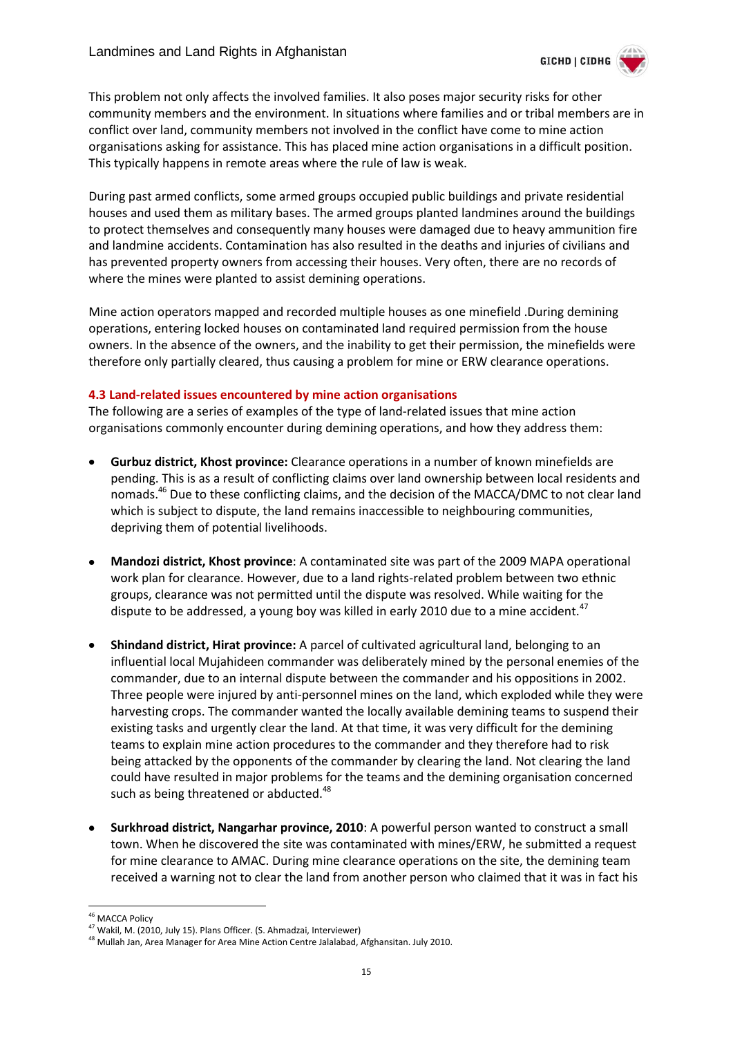

This problem not only affects the involved families. It also poses major security risks for other community members and the environment. In situations where families and or tribal members are in conflict over land, community members not involved in the conflict have come to mine action organisations asking for assistance. This has placed mine action organisations in a difficult position. This typically happens in remote areas where the rule of law is weak.

During past armed conflicts, some armed groups occupied public buildings and private residential houses and used them as military bases. The armed groups planted landmines around the buildings to protect themselves and consequently many houses were damaged due to heavy ammunition fire and landmine accidents. Contamination has also resulted in the deaths and injuries of civilians and has prevented property owners from accessing their houses. Very often, there are no records of where the mines were planted to assist demining operations.

Mine action operators mapped and recorded multiple houses as one minefield .During demining operations, entering locked houses on contaminated land required permission from the house owners. In the absence of the owners, and the inability to get their permission, the minefields were therefore only partially cleared, thus causing a problem for mine or ERW clearance operations.

#### <span id="page-14-0"></span>**4.3 Land-related issues encountered by mine action organisations**

The following are a series of examples of the type of land-related issues that mine action organisations commonly encounter during demining operations, and how they address them:

- **Gurbuz district, Khost province:** Clearance operations in a number of known minefields are pending. This is as a result of conflicting claims over land ownership between local residents and nomads.<sup>46</sup> Due to these conflicting claims, and the decision of the MACCA/DMC to not clear land which is subject to dispute, the land remains inaccessible to neighbouring communities, depriving them of potential livelihoods.
- **Mandozi district, Khost province**: A contaminated site was part of the 2009 MAPA operational work plan for clearance. However, due to a land rights-related problem between two ethnic groups, clearance was not permitted until the dispute was resolved. While waiting for the dispute to be addressed, a young boy was killed in early 2010 due to a mine accident. $47$
- **Shindand district, Hirat province:** A parcel of cultivated agricultural land, belonging to an influential local Mujahideen commander was deliberately mined by the personal enemies of the commander, due to an internal dispute between the commander and his oppositions in 2002. Three people were injured by anti-personnel mines on the land, which exploded while they were harvesting crops. The commander wanted the locally available demining teams to suspend their existing tasks and urgently clear the land. At that time, it was very difficult for the demining teams to explain mine action procedures to the commander and they therefore had to risk being attacked by the opponents of the commander by clearing the land. Not clearing the land could have resulted in major problems for the teams and the demining organisation concerned such as being threatened or abducted.<sup>48</sup>
- **Surkhroad district, Nangarhar province, 2010**: A powerful person wanted to construct a small town. When he discovered the site was contaminated with mines/ERW, he submitted a request for mine clearance to AMAC. During mine clearance operations on the site, the demining team received a warning not to clear the land from another person who claimed that it was in fact his

-

<sup>&</sup>lt;sup>46</sup> MACCA Policy

<sup>47</sup> Wakil, M. (2010, July 15). Plans Officer. (S. Ahmadzai, Interviewer)

<sup>&</sup>lt;sup>48</sup> Mullah Jan, Area Manager for Area Mine Action Centre Jalalabad, Afghansitan. July 2010.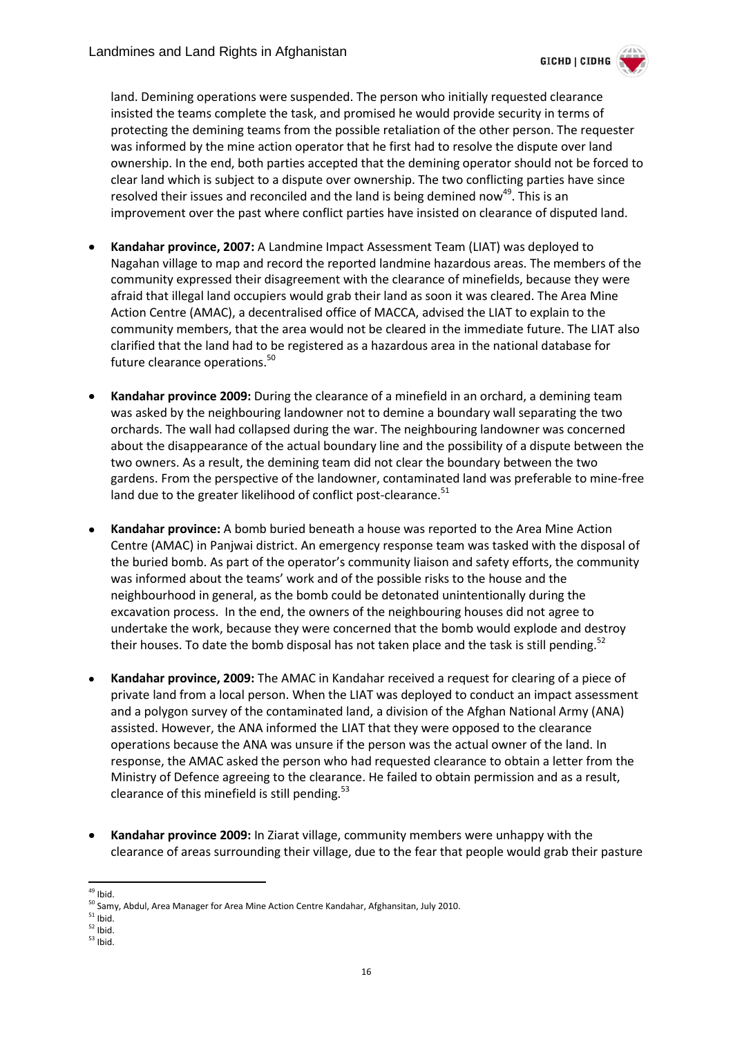

land. Demining operations were suspended. The person who initially requested clearance insisted the teams complete the task, and promised he would provide security in terms of protecting the demining teams from the possible retaliation of the other person. The requester was informed by the mine action operator that he first had to resolve the dispute over land ownership. In the end, both parties accepted that the demining operator should not be forced to clear land which is subject to a dispute over ownership. The two conflicting parties have since resolved their issues and reconciled and the land is being demined now<sup>49</sup>. This is an improvement over the past where conflict parties have insisted on clearance of disputed land.

- **Kandahar province, 2007:** A Landmine Impact Assessment Team (LIAT) was deployed to Nagahan village to map and record the reported landmine hazardous areas. The members of the community expressed their disagreement with the clearance of minefields, because they were afraid that illegal land occupiers would grab their land as soon it was cleared. The Area Mine Action Centre (AMAC), a decentralised office of MACCA, advised the LIAT to explain to the community members, that the area would not be cleared in the immediate future. The LIAT also clarified that the land had to be registered as a hazardous area in the national database for future clearance operations.<sup>50</sup>
- **Kandahar province 2009:** During the clearance of a minefield in an orchard, a demining team was asked by the neighbouring landowner not to demine a boundary wall separating the two orchards. The wall had collapsed during the war. The neighbouring landowner was concerned about the disappearance of the actual boundary line and the possibility of a dispute between the two owners. As a result, the demining team did not clear the boundary between the two gardens. From the perspective of the landowner, contaminated land was preferable to mine-free land due to the greater likelihood of conflict post-clearance.<sup>51</sup>
- **Kandahar province:** A bomb buried beneath a house was reported to the Area Mine Action Centre (AMAC) in Panjwai district. An emergency response team was tasked with the disposal of the buried bomb. As part of the operator's community liaison and safety efforts, the community was informed about the teams' work and of the possible risks to the house and the neighbourhood in general, as the bomb could be detonated unintentionally during the excavation process. In the end, the owners of the neighbouring houses did not agree to undertake the work, because they were concerned that the bomb would explode and destroy their houses. To date the bomb disposal has not taken place and the task is still pending.<sup>52</sup>
- **Kandahar province, 2009:** The AMAC in Kandahar received a request for clearing of a piece of private land from a local person. When the LIAT was deployed to conduct an impact assessment and a polygon survey of the contaminated land, a division of the Afghan National Army (ANA) assisted. However, the ANA informed the LIAT that they were opposed to the clearance operations because the ANA was unsure if the person was the actual owner of the land. In response, the AMAC asked the person who had requested clearance to obtain a letter from the Ministry of Defence agreeing to the clearance. He failed to obtain permission and as a result, clearance of this minefield is still pending.<sup>53</sup>
- **Kandahar province 2009:** In Ziarat village, community members were unhappy with the clearance of areas surrounding their village, due to the fear that people would grab their pasture

<sup>-</sup><sup>49</sup> Ibid.

<sup>&</sup>lt;sup>50</sup> Samy, Abdul, Area Manager for Area Mine Action Centre Kandahar, Afghansitan, July 2010.

 $51$  Ibid.

 $52$  Ibid.

 $53$  Ibid.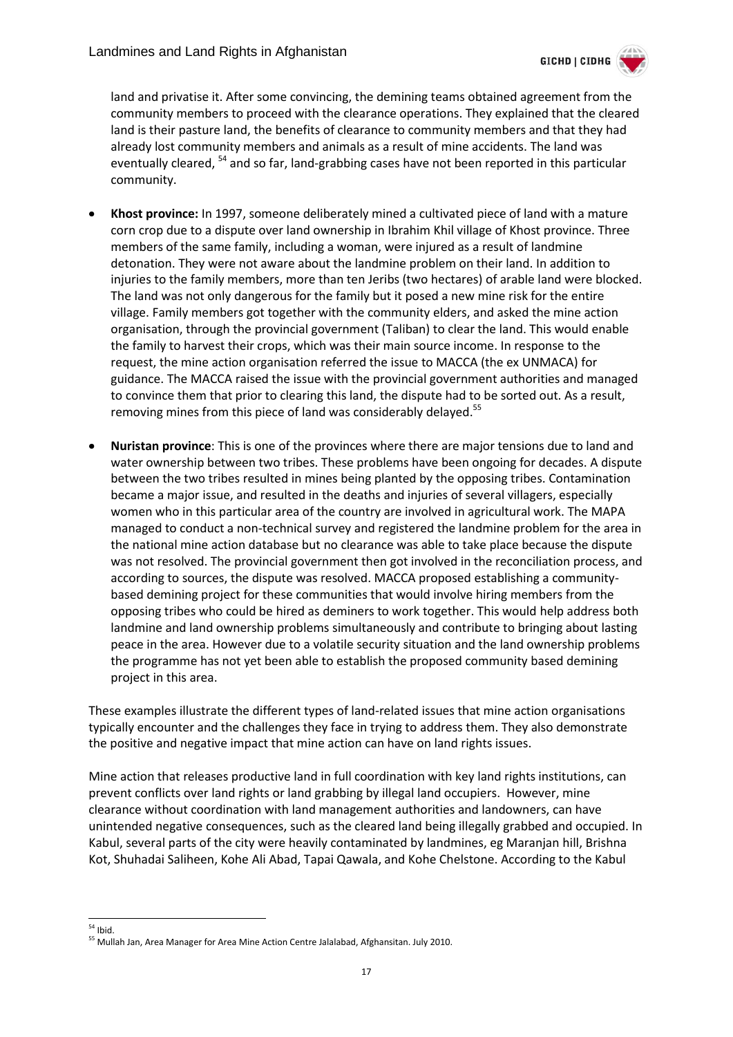

land and privatise it. After some convincing, the demining teams obtained agreement from the community members to proceed with the clearance operations. They explained that the cleared land is their pasture land, the benefits of clearance to community members and that they had already lost community members and animals as a result of mine accidents. The land was eventually cleared, <sup>54</sup> and so far, land-grabbing cases have not been reported in this particular community.

- **Khost province:** In 1997, someone deliberately mined a cultivated piece of land with a mature corn crop due to a dispute over land ownership in Ibrahim Khil village of Khost province. Three members of the same family, including a woman, were injured as a result of landmine detonation. They were not aware about the landmine problem on their land. In addition to injuries to the family members, more than ten Jeribs (two hectares) of arable land were blocked. The land was not only dangerous for the family but it posed a new mine risk for the entire village. Family members got together with the community elders, and asked the mine action organisation, through the provincial government (Taliban) to clear the land. This would enable the family to harvest their crops, which was their main source income. In response to the request, the mine action organisation referred the issue to MACCA (the ex UNMACA) for guidance. The MACCA raised the issue with the provincial government authorities and managed to convince them that prior to clearing this land, the dispute had to be sorted out. As a result, removing mines from this piece of land was considerably delayed.<sup>55</sup>
- **Nuristan province**: This is one of the provinces where there are major tensions due to land and water ownership between two tribes. These problems have been ongoing for decades. A dispute between the two tribes resulted in mines being planted by the opposing tribes. Contamination became a major issue, and resulted in the deaths and injuries of several villagers, especially women who in this particular area of the country are involved in agricultural work. The MAPA managed to conduct a non-technical survey and registered the landmine problem for the area in the national mine action database but no clearance was able to take place because the dispute was not resolved. The provincial government then got involved in the reconciliation process, and according to sources, the dispute was resolved. MACCA proposed establishing a communitybased demining project for these communities that would involve hiring members from the opposing tribes who could be hired as deminers to work together. This would help address both landmine and land ownership problems simultaneously and contribute to bringing about lasting peace in the area. However due to a volatile security situation and the land ownership problems the programme has not yet been able to establish the proposed community based demining project in this area.

These examples illustrate the different types of land-related issues that mine action organisations typically encounter and the challenges they face in trying to address them. They also demonstrate the positive and negative impact that mine action can have on land rights issues.

Mine action that releases productive land in full coordination with key land rights institutions, can prevent conflicts over land rights or land grabbing by illegal land occupiers. However, mine clearance without coordination with land management authorities and landowners, can have unintended negative consequences, such as the cleared land being illegally grabbed and occupied. In Kabul, several parts of the city were heavily contaminated by landmines, eg Maranjan hill, Brishna Kot, Shuhadai Saliheen, Kohe Ali Abad, Tapai Qawala, and Kohe Chelstone. According to the Kabul

<sup>-</sup> $54$  Ibid.

<sup>55</sup> Mullah Jan, Area Manager for Area Mine Action Centre Jalalabad, Afghansitan. July 2010.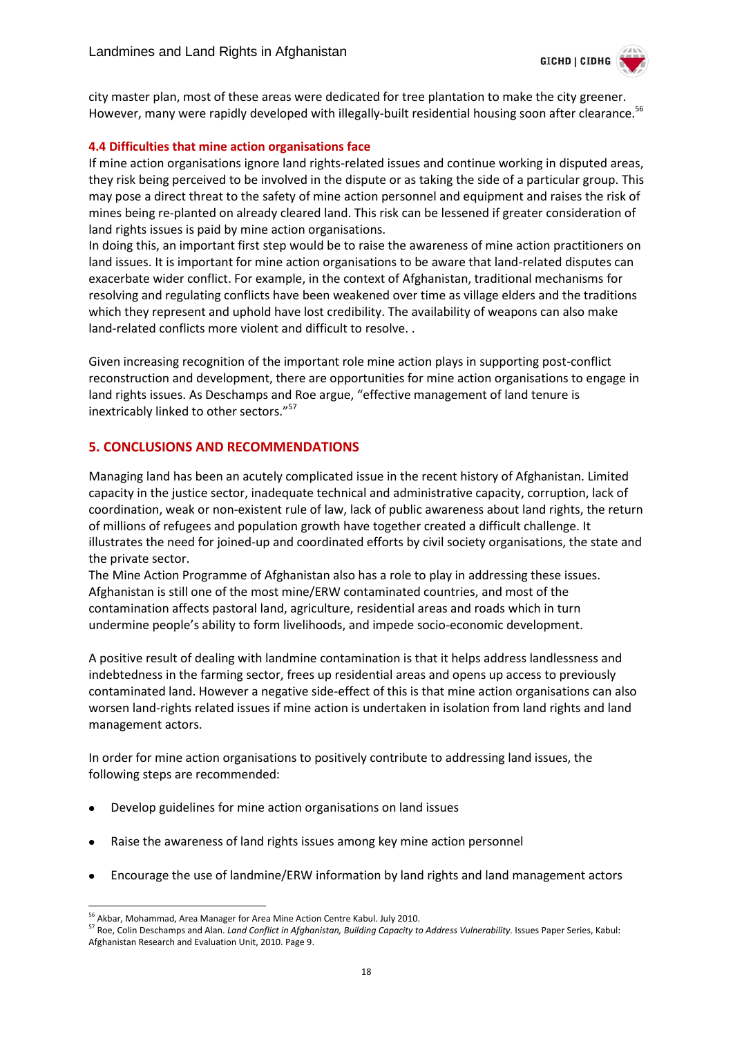

city master plan, most of these areas were dedicated for tree plantation to make the city greener. However, many were rapidly developed with illegally-built residential housing soon after clearance.<sup>56</sup>

#### <span id="page-17-0"></span>**4.4 Difficulties that mine action organisations face**

If mine action organisations ignore land rights-related issues and continue working in disputed areas, they risk being perceived to be involved in the dispute or as taking the side of a particular group. This may pose a direct threat to the safety of mine action personnel and equipment and raises the risk of mines being re-planted on already cleared land. This risk can be lessened if greater consideration of land rights issues is paid by mine action organisations.

In doing this, an important first step would be to raise the awareness of mine action practitioners on land issues. It is important for mine action organisations to be aware that land-related disputes can exacerbate wider conflict. For example, in the context of Afghanistan, traditional mechanisms for resolving and regulating conflicts have been weakened over time as village elders and the traditions which they represent and uphold have lost credibility. The availability of weapons can also make land-related conflicts more violent and difficult to resolve. .

Given increasing recognition of the important role mine action plays in supporting post-conflict reconstruction and development, there are opportunities for mine action organisations to engage in land rights issues. As Deschamps and Roe argue, "effective management of land tenure is inextricably linked to other sectors."<sup>57</sup>

#### <span id="page-17-1"></span>**5. CONCLUSIONS AND RECOMMENDATIONS**

Managing land has been an acutely complicated issue in the recent history of Afghanistan. Limited capacity in the justice sector, inadequate technical and administrative capacity, corruption, lack of coordination, weak or non-existent rule of law, lack of public awareness about land rights, the return of millions of refugees and population growth have together created a difficult challenge. It illustrates the need for joined-up and coordinated efforts by civil society organisations, the state and the private sector.

The Mine Action Programme of Afghanistan also has a role to play in addressing these issues. Afghanistan is still one of the most mine/ERW contaminated countries, and most of the contamination affects pastoral land, agriculture, residential areas and roads which in turn undermine people's ability to form livelihoods, and impede socio-economic development.

A positive result of dealing with landmine contamination is that it helps address landlessness and indebtedness in the farming sector, frees up residential areas and opens up access to previously contaminated land. However a negative side-effect of this is that mine action organisations can also worsen land-rights related issues if mine action is undertaken in isolation from land rights and land management actors.

In order for mine action organisations to positively contribute to addressing land issues, the following steps are recommended:

- Develop guidelines for mine action organisations on land issues
- Raise the awareness of land rights issues among key mine action personnel
- Encourage the use of landmine/ERW information by land rights and land management actors

-

<sup>&</sup>lt;sup>56</sup> Akbar, Mohammad, Area Manager for Area Mine Action Centre Kabul. July 2010.

<sup>57</sup> Roe, Colin Deschamps and Alan. *Land Conflict in Afghanistan, Building Capacity to Address Vulnerability.* Issues Paper Series, Kabul: Afghanistan Research and Evaluation Unit, 2010. Page 9.